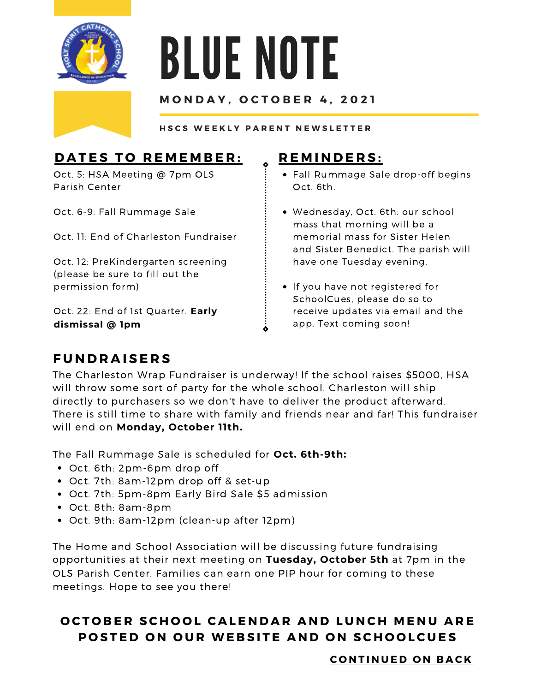

# BLUE NOTE

#### **M O N D A Y , O C T O B E R 4 , 2 0 2 1**

HSCS WEEKLY PARENT NEWSLETTER

### **DATES TO REMEMBER:**

Oct. 5: HSA Meeting @ 7pm OLS Parish Center

Oct. 6-9: Fall Rummage Sale

Oct. 11: End of Charleston Fundraiser

Oct. 12: PreKindergarten screening (please be sure to fill out the permission form)

Oct. 22: End of 1st Quarter. **Early dismissal @ 1pm**

#### **R E M I N D E R S :**

- Fall Rummage Sale drop-off begins Oct. 6th.
- Wednesday, Oct. 6th: our school mass that morning will be a memorial mass for Sister Helen and Sister Benedict. The parish will have one Tuesday evening.
- If you have not registered for SchoolCues, please do so to receive updates via email and the app. Text coming soon!

#### **F U N D R A I S E R S**

The Charleston Wrap Fundraiser is underway! If the school raises \$5000, HSA will throw some sort of party for the whole school. Charleston will ship directly to purchasers so we don't have to deliver the product afterward. There is still time to share with family and friends near and far! This fundraiser will end on **Monday, October 11th.**

The Fall Rummage Sale is scheduled for **Oct. 6th-9th:**

- Oct. 6th: 2pm-6pm drop off
- Oct. 7th: 8am-12pm drop off & set-up
- Oct. 7th: 5pm-8pm Early Bird Sale \$5 admission
- Oct. 8th: 8am-8pm
- Oct. 9th: 8am-12pm (clean-up after 12pm)

The Home and School Association will be discussing future fundraising opportunities at their next meeting on **Tuesday, October 5th** at 7pm in the OLS Parish Center. Families can earn one PIP hour for coming to these meetings. Hope to see you there!

#### OCTOBER SCHOOL CALENDAR AND LUNCH MENU ARE POSTED ON OUR WEBSITE AND ON SCHOOLCUES

 $C$  **ONTINUED ON BACK**